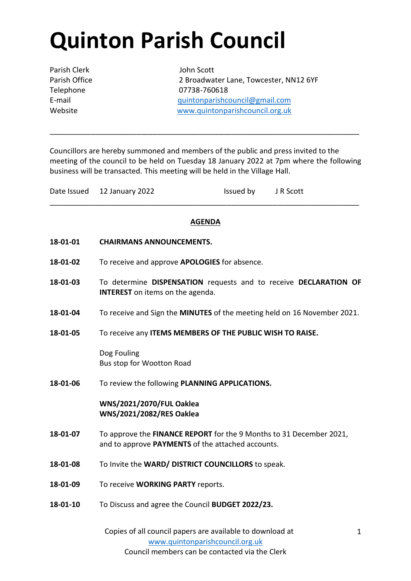## **Quinton Parish Council**

Parish Clerk John Scott

Parish Office 2 Broadwater Lane, Towcester, NN12 6YF Telephone 07738-760618 E-mail [quintonparishcouncil@gmail.com](mailto:quintonparishcouncil@gmail.com) Website [www.quintonparishcouncil.org.uk](http://www.quintonparishcouncil.org.uk/)

Councillors are hereby summoned and members of the public and press invited to the meeting of the council to be held on Tuesday 18 January 2022 at 7pm where the following business will be transacted. This meeting will be held in the Village Hall.

\_\_\_\_\_\_\_\_\_\_\_\_\_\_\_\_\_\_\_\_\_\_\_\_\_\_\_\_\_\_\_\_\_\_\_\_\_\_\_\_\_\_\_\_\_\_\_\_\_\_\_\_\_\_\_\_\_\_\_\_\_\_\_\_\_\_\_\_\_\_\_\_\_\_\_

## **AGENDA**

\_\_\_\_\_\_\_\_\_\_\_\_\_\_\_\_\_\_\_\_\_\_\_\_\_\_\_\_\_\_\_\_\_\_\_\_\_\_\_\_\_\_\_\_\_\_\_\_\_\_\_\_\_\_\_\_\_\_\_\_\_\_\_\_\_\_\_\_\_\_\_\_\_\_\_

- **18-01-01 CHAIRMANS ANNOUNCEMENTS.**
- **18-01-02** To receive and approve **APOLOGIES** for absence.
- **18-01-03** To determine **DISPENSATION** requests and to receive **DECLARATION OF INTEREST** on items on the agenda.
- **18-01-04** To receive and Sign the **MINUTES** of the meeting held on 16 November 2021.
- **18-01-05** To receive any **ITEMS MEMBERS OF THE PUBLIC WISH TO RAISE.**

Dog Fouling Bus stop for Wootton Road

**18-01-06** To review the following **PLANNING APPLICATIONS.**

**WNS/2021/2070/FUL Oaklea WNS/2021/2082/RES Oaklea**

- **18-01-07** To approve the **FINANCE REPORT** for the 9 Months to 31 December 2021, and to approve **PAYMENTS** of the attached accounts.
- **18-01-08** To Invite the **WARD/ DISTRICT COUNCILLORS** to speak.
- **18-01-09** To receive **WORKING PARTY** reports.
- **18-01-10** To Discuss and agree the Council **BUDGET 2022/23.**

Copies of all council papers are available to download at [www.quintonparishcouncil.org.uk](http://www.quintonparishcouncil.org.uk/) Council members can be contacted via the Clerk